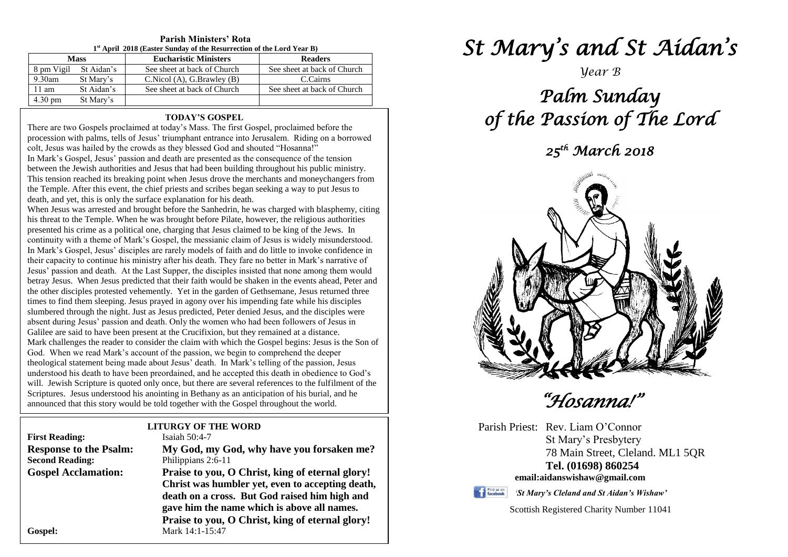| $1st$ April 2018 (Easter Sunday of the Resurrection of the Lord Year B) |            |                              |                             |  |
|-------------------------------------------------------------------------|------------|------------------------------|-----------------------------|--|
| <b>Mass</b>                                                             |            | <b>Eucharistic Ministers</b> | <b>Readers</b>              |  |
| 8 pm Vigil                                                              | St Aidan's | See sheet at back of Church  | See sheet at back of Church |  |
| $9.30$ am                                                               | St Mary's  | C.Nicol(A), G.Brawley(B)     | C.Cairns                    |  |
| $11 \text{ am}$                                                         | St Aidan's | See sheet at back of Church  | See sheet at back of Church |  |
| $4.30 \text{ pm}$                                                       | St Mary's  |                              |                             |  |

# **Parish Ministers' Rota**

#### **TODAY'S GOSPEL**

There are two Gospels proclaimed at today's Mass. The first Gospel, proclaimed before the procession with palms, tells of Jesus' triumphant entrance into Jerusalem. Riding on a borrowed colt, Jesus was hailed by the crowds as they blessed God and shouted "Hosanna!"

In Mark's Gospel, Jesus' passion and death are presented as the consequence of the tension between the Jewish authorities and Jesus that had been building throughout his public ministry. This tension reached its breaking point when Jesus drove the merchants and moneychangers from the Temple. After this event, the chief priests and scribes began seeking a way to put Jesus to death, and yet, this is only the surface explanation for his death.

the other disciples protested vehemently. Yet in the garden of Gethsemane, Jesus returned three times to find them sleeping. Jesus prayed in agony over his impending fate while his disciples absent during Jesus' passion and death. Only the women who had been followers of Jesus<br>Galilee are said to have been present at the Crucifixion, but they remained at a distance. God. When we read Mark's account of the passion, we begin to comprehend the deeper<br>theological statement being made about Jesus' death. In Mark's telling of the passion, Jesus will. Jewish Scripture is quoted only once, but there are several references to the fulfilment of Scriptures. Jesus understood his anointing in Bethany as an anticipation of his burial, and he When Jesus was arrested and brought before the Sanhedrin, he was charged with blasphemy, citing his threat to the Temple. When he was brought before Pilate, however, the religious authorities presented his crime as a political one, charging that Jesus claimed to be king of the Jews. In continuity with a theme of Mark's Gospel, the messianic claim of Jesus is widely misunderstood. In Mark's Gospel, Jesus' disciples are rarely models of faith and do little to invoke confidence in their capacity to continue his ministry after his death. They fare no better in Mark's narrative of Jesus' passion and death. At the Last Supper, the disciples insisted that none among them would betray Jesus. When Jesus predicted that their faith would be shaken in the events ahead, Peter and times to find them sleeping. Jesus prayed in agony over his impending fate while his disciples slumbered through the night. Just as Jesus predicted, Peter denied Jesus, and the disciples were absent during Jesus' passion and death. Only the women who had been followers of Jesus in Mark challenges the reader to consider the claim with which the Gospel begins: Jesus is the Son of God. When we read Mark's account of the passion, we begin to comprehend the deeper understood his death to have been preordained, and he accepted this death in obedience to God's will. Jewish Scripture is quoted only once, but there are several references to the fulfilment of the announced that this story would be told together with the Gospel throughout the world.

# **LITURGY OF THE WORD**

| <b>First Reading:</b>         | Isaiah $50:4-7$                                  |
|-------------------------------|--------------------------------------------------|
| <b>Response to the Psalm:</b> | My God, my God, why have you forsaken me?        |
| <b>Second Reading:</b>        | Philippians 2:6-11                               |
| <b>Gospel Acclamation:</b>    | Praise to you, O Christ, king of eternal glory!  |
|                               | Christ was humbler yet, even to accepting death, |
|                               | death on a cross. But God raised him high and    |
|                               | gave him the name which is above all names.      |
|                               | Praise to you, O Christ, king of eternal glory!  |
| Gospel:                       | Mark 14:1-15:47                                  |

*St Mary's and St Aidan's* 

*Year B*

# *Palm Sunday of the Passion of The Lord*

*25th March 2018* 



 *"Hosanna!"* 

Parish Priest: Rev. Liam O'Connor St Mary's Presbytery 78 Main Street, Cleland. ML1 5QR **Tel. (01698) 860254 email:aidanswishaw@gmail.com**

Find us on

*'St Mary's Cleland and St Aidan's Wishaw'*

Scottish Registered Charity Number 11041